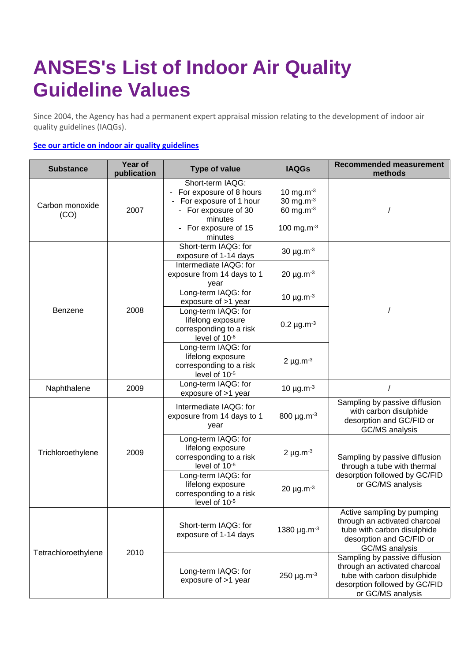## **ANSES's List of Indoor Air Quality Guideline Values**

Since 2004, the Agency has had a permanent expert appraisal mission relating to the development of indoor air quality guidelines (IAQGs).

## **[See our article on indoor air quality guidelines](https://www.anses.fr/en/content/indoor-air-quality-guidelines-iaqgs)**

| <b>Substance</b>        | Year of<br>publication | <b>Type of value</b>                                                                                                                        | <b>IAQGs</b>                                                              | <b>Recommended measurement</b><br>methods                                                                                                           |
|-------------------------|------------------------|---------------------------------------------------------------------------------------------------------------------------------------------|---------------------------------------------------------------------------|-----------------------------------------------------------------------------------------------------------------------------------------------------|
| Carbon monoxide<br>(CO) | 2007                   | Short-term IAQG:<br>For exposure of 8 hours<br>For exposure of 1 hour<br>- For exposure of 30<br>minutes<br>- For exposure of 15<br>minutes | 10 mg.m $^{-3}$<br>30 mg.m $^{-3}$<br>60 mg.m $^{-3}$<br>100 mg.m $^{-3}$ |                                                                                                                                                     |
| Benzene                 | 2008                   | Short-term IAQG: for<br>exposure of 1-14 days<br>Intermediate IAQG: for                                                                     | 30 $\mu$ g.m $^{-3}$<br>20 $\mu$ g.m $^{-3}$                              |                                                                                                                                                     |
|                         |                        | exposure from 14 days to 1<br>year<br>Long-term IAQG: for                                                                                   | 10 $\mu$ g.m $^{-3}$                                                      |                                                                                                                                                     |
|                         |                        | exposure of >1 year<br>Long-term IAQG: for<br>lifelong exposure<br>corresponding to a risk<br>level of 10-6                                 | $0.2 \mu g.m^{-3}$                                                        |                                                                                                                                                     |
|                         |                        | Long-term IAQG: for<br>lifelong exposure<br>corresponding to a risk<br>level of 10-5                                                        | 2 $\mu$ g.m $^{-3}$                                                       |                                                                                                                                                     |
| Naphthalene             | 2009                   | Long-term IAQG: for<br>exposure of >1 year                                                                                                  | 10 $\mu$ g.m $^{-3}$                                                      |                                                                                                                                                     |
| Trichloroethylene       | 2009                   | Intermediate IAQG: for<br>exposure from 14 days to 1<br>year                                                                                | 800 µg.m-3                                                                | Sampling by passive diffusion<br>with carbon disulphide<br>desorption and GC/FID or<br>GC/MS analysis                                               |
|                         |                        | Long-term IAQG: for<br>lifelong exposure<br>corresponding to a risk<br>level of 10-6                                                        | 2 $\mu$ g.m $^{-3}$                                                       | Sampling by passive diffusion<br>through a tube with thermal<br>desorption followed by GC/FID<br>or GC/MS analysis                                  |
|                         |                        | Long-term IAQG: for<br>lifelong exposure<br>corresponding to a risk<br>level of 10-5                                                        | 20 $\mu$ g.m $^{-3}$                                                      |                                                                                                                                                     |
| Tetrachloroethylene     | 2010                   | Short-term IAQG: for<br>exposure of 1-14 days                                                                                               | 1380 $\mu$ g.m <sup>-3</sup>                                              | Active sampling by pumping<br>through an activated charcoal<br>tube with carbon disulphide<br>desorption and GC/FID or<br>GC/MS analysis            |
|                         |                        | Long-term IAQG: for<br>exposure of >1 year                                                                                                  | $250 \mu g.m^{-3}$                                                        | Sampling by passive diffusion<br>through an activated charcoal<br>tube with carbon disulphide<br>desorption followed by GC/FID<br>or GC/MS analysis |